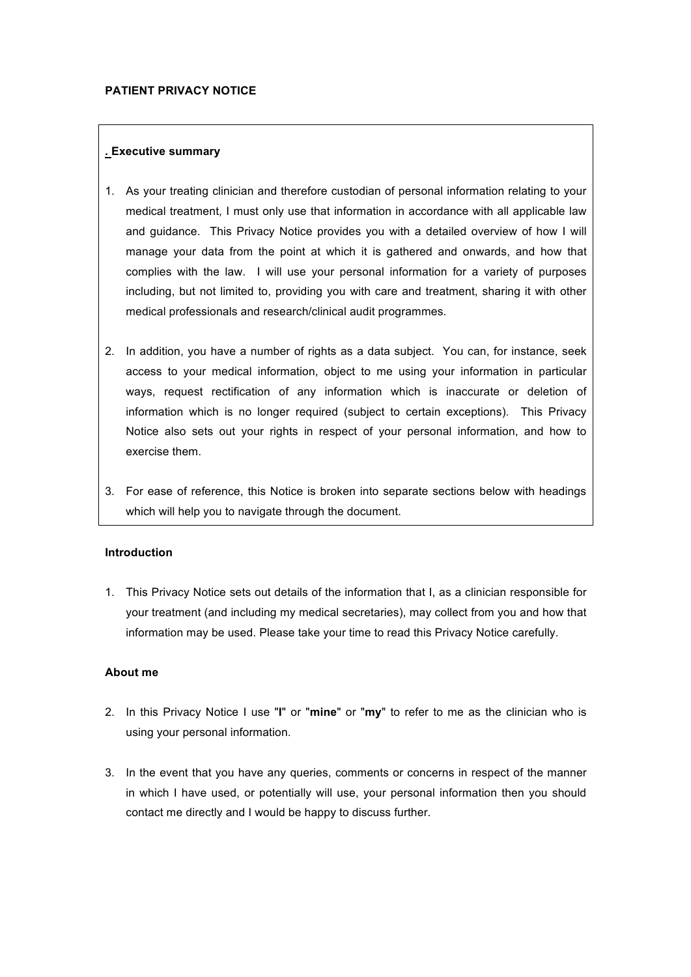# *.* **Executive summary**

- 1. As your treating clinician and therefore custodian of personal information relating to your medical treatment, I must only use that information in accordance with all applicable law and guidance. This Privacy Notice provides you with a detailed overview of how I will manage your data from the point at which it is gathered and onwards, and how that complies with the law. I will use your personal information for a variety of purposes including, but not limited to, providing you with care and treatment, sharing it with other medical professionals and research/clinical audit programmes.
- 2. In addition, you have a number of rights as a data subject. You can, for instance, seek access to your medical information, object to me using your information in particular ways, request rectification of any information which is inaccurate or deletion of information which is no longer required (subject to certain exceptions). This Privacy Notice also sets out your rights in respect of your personal information, and how to exercise them.
- 3. For ease of reference, this Notice is broken into separate sections below with headings which will help you to navigate through the document.

# **Introduction**

1. This Privacy Notice sets out details of the information that I, as a clinician responsible for your treatment (and including my medical secretaries), may collect from you and how that information may be used. Please take your time to read this Privacy Notice carefully.

# **About me**

- 2. In this Privacy Notice I use "**I**" or "**mine**" or "**my**" to refer to me as the clinician who is using your personal information.
- 3. In the event that you have any queries, comments or concerns in respect of the manner in which I have used, or potentially will use, your personal information then you should contact me directly and I would be happy to discuss further.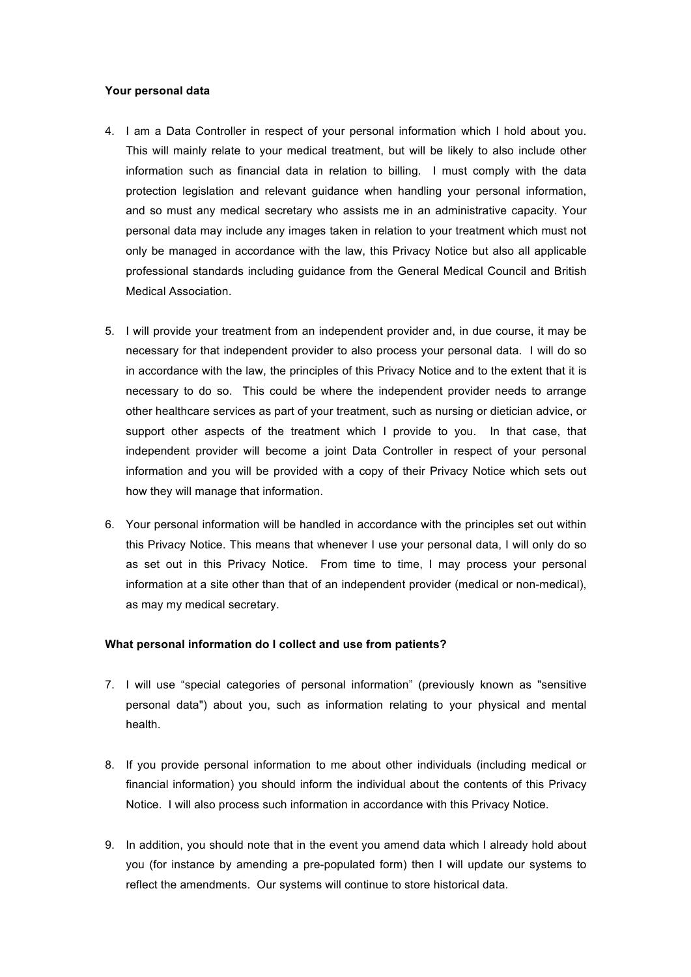## **Your personal data**

- 4. I am a Data Controller in respect of your personal information which I hold about you. This will mainly relate to your medical treatment, but will be likely to also include other information such as financial data in relation to billing. I must comply with the data protection legislation and relevant guidance when handling your personal information, and so must any medical secretary who assists me in an administrative capacity. Your personal data may include any images taken in relation to your treatment which must not only be managed in accordance with the law, this Privacy Notice but also all applicable professional standards including guidance from the General Medical Council and British Medical Association.
- 5. I will provide your treatment from an independent provider and, in due course, it may be necessary for that independent provider to also process your personal data. I will do so in accordance with the law, the principles of this Privacy Notice and to the extent that it is necessary to do so. This could be where the independent provider needs to arrange other healthcare services as part of your treatment, such as nursing or dietician advice, or support other aspects of the treatment which I provide to you. In that case, that independent provider will become a joint Data Controller in respect of your personal information and you will be provided with a copy of their Privacy Notice which sets out how they will manage that information.
- 6. Your personal information will be handled in accordance with the principles set out within this Privacy Notice. This means that whenever I use your personal data, I will only do so as set out in this Privacy Notice. From time to time, I may process your personal information at a site other than that of an independent provider (medical or non-medical), as may my medical secretary.

# **What personal information do I collect and use from patients?**

- 7. I will use "special categories of personal information" (previously known as "sensitive personal data") about you, such as information relating to your physical and mental health.
- 8. If you provide personal information to me about other individuals (including medical or financial information) you should inform the individual about the contents of this Privacy Notice. I will also process such information in accordance with this Privacy Notice.
- 9. In addition, you should note that in the event you amend data which I already hold about you (for instance by amending a pre-populated form) then I will update our systems to reflect the amendments. Our systems will continue to store historical data.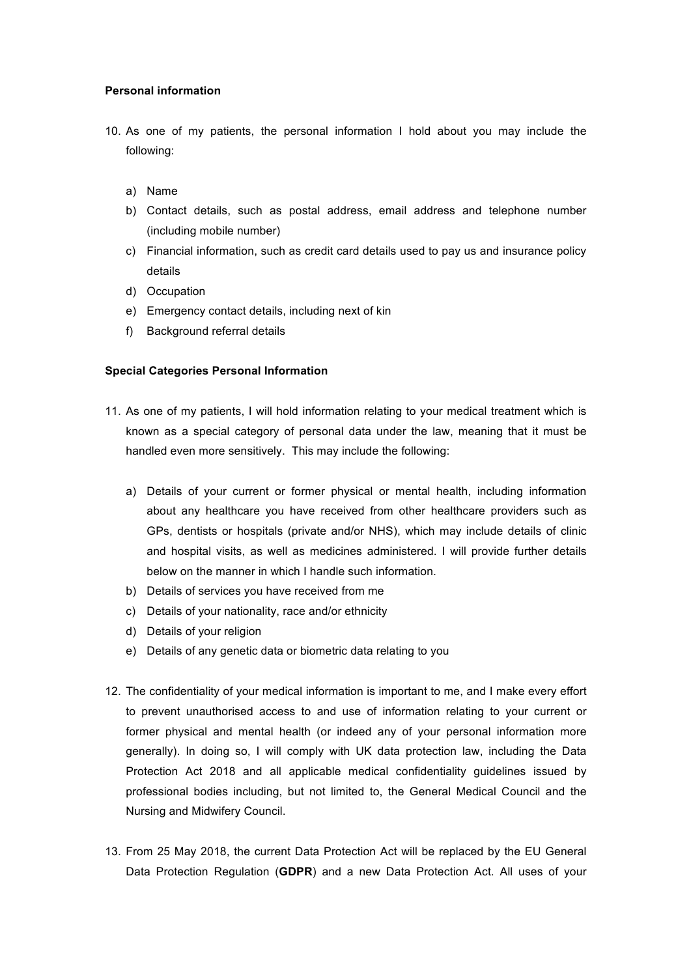## **Personal information**

- 10. As one of my patients, the personal information I hold about you may include the following:
	- a) Name
	- b) Contact details, such as postal address, email address and telephone number (including mobile number)
	- c) Financial information, such as credit card details used to pay us and insurance policy details
	- d) Occupation
	- e) Emergency contact details, including next of kin
	- f) Background referral details

#### **Special Categories Personal Information**

- 11. As one of my patients, I will hold information relating to your medical treatment which is known as a special category of personal data under the law, meaning that it must be handled even more sensitively. This may include the following:
	- a) Details of your current or former physical or mental health, including information about any healthcare you have received from other healthcare providers such as GPs, dentists or hospitals (private and/or NHS), which may include details of clinic and hospital visits, as well as medicines administered. I will provide further details below on the manner in which I handle such information.
	- b) Details of services you have received from me
	- c) Details of your nationality, race and/or ethnicity
	- d) Details of your religion
	- e) Details of any genetic data or biometric data relating to you
- 12. The confidentiality of your medical information is important to me, and I make every effort to prevent unauthorised access to and use of information relating to your current or former physical and mental health (or indeed any of your personal information more generally). In doing so, I will comply with UK data protection law, including the Data Protection Act 2018 and all applicable medical confidentiality guidelines issued by professional bodies including, but not limited to, the General Medical Council and the Nursing and Midwifery Council.
- 13. From 25 May 2018, the current Data Protection Act will be replaced by the EU General Data Protection Regulation (**GDPR**) and a new Data Protection Act. All uses of your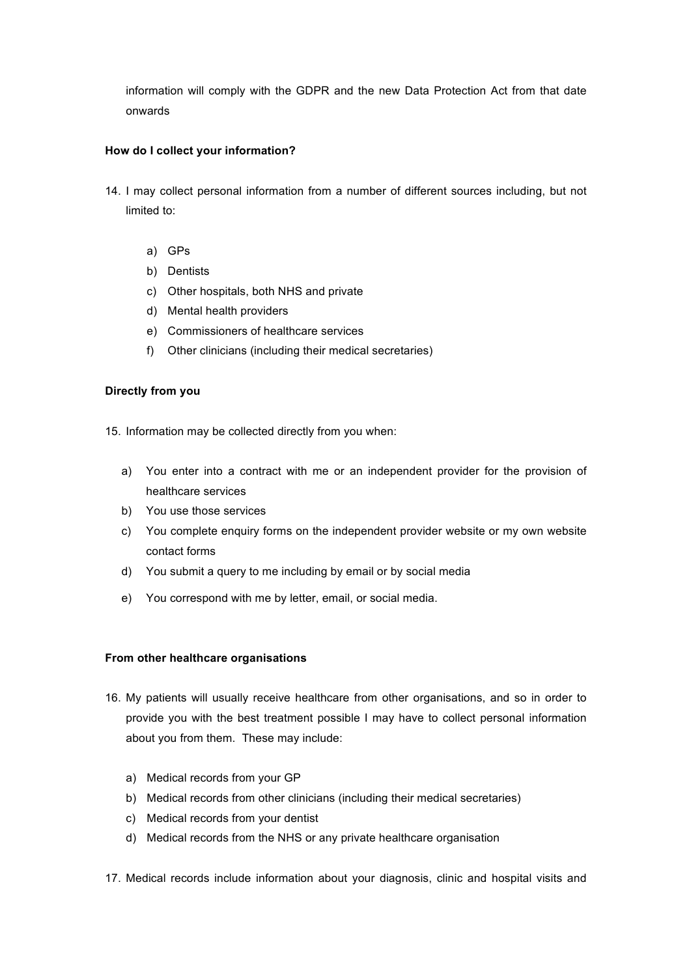information will comply with the GDPR and the new Data Protection Act from that date onwards

# **How do I collect your information?**

- 14. I may collect personal information from a number of different sources including, but not limited to:
	- a) GPs
	- b) Dentists
	- c) Other hospitals, both NHS and private
	- d) Mental health providers
	- e) Commissioners of healthcare services
	- f) Other clinicians (including their medical secretaries)

## **Directly from you**

15. Information may be collected directly from you when:

- a) You enter into a contract with me or an independent provider for the provision of healthcare services
- b) You use those services
- c) You complete enquiry forms on the independent provider website or my own website contact forms
- d) You submit a query to me including by email or by social media
- e) You correspond with me by letter, email, or social media.

#### **From other healthcare organisations**

- 16. My patients will usually receive healthcare from other organisations, and so in order to provide you with the best treatment possible I may have to collect personal information about you from them. These may include:
	- a) Medical records from your GP
	- b) Medical records from other clinicians (including their medical secretaries)
	- c) Medical records from your dentist
	- d) Medical records from the NHS or any private healthcare organisation
- 17. Medical records include information about your diagnosis, clinic and hospital visits and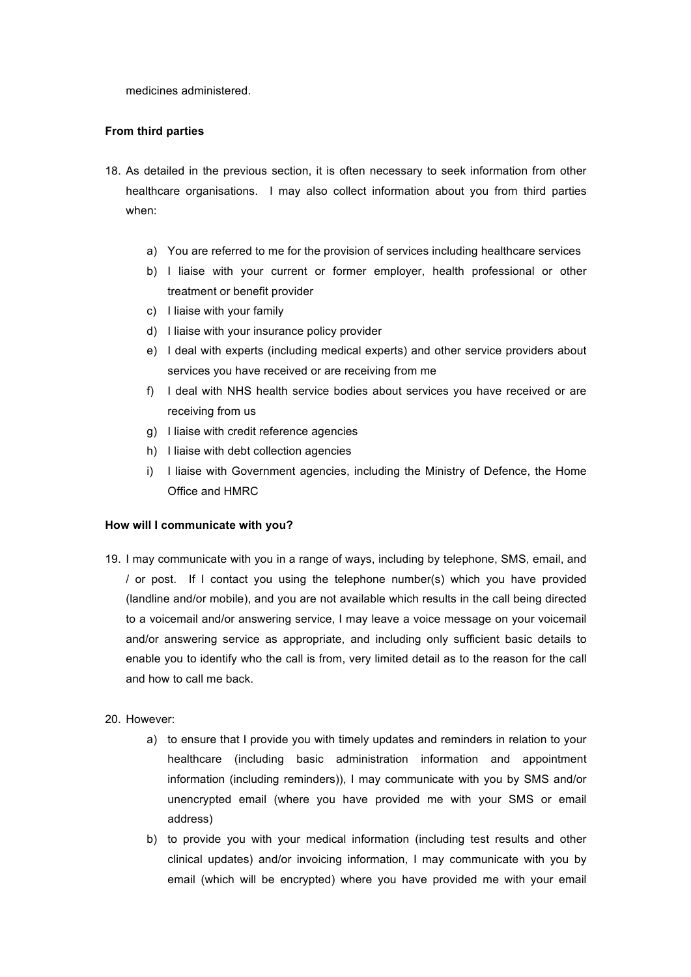medicines administered.

## **From third parties**

- 18. As detailed in the previous section, it is often necessary to seek information from other healthcare organisations. I may also collect information about you from third parties when:
	- a) You are referred to me for the provision of services including healthcare services
	- b) I liaise with your current or former employer, health professional or other treatment or benefit provider
	- c) I liaise with your family
	- d) I liaise with your insurance policy provider
	- e) I deal with experts (including medical experts) and other service providers about services you have received or are receiving from me
	- f) I deal with NHS health service bodies about services you have received or are receiving from us
	- g) I liaise with credit reference agencies
	- h) I liaise with debt collection agencies
	- i) I liaise with Government agencies, including the Ministry of Defence, the Home Office and HMRC

#### **How will I communicate with you?**

- 19. I may communicate with you in a range of ways, including by telephone, SMS, email, and / or post. If I contact you using the telephone number(s) which you have provided (landline and/or mobile), and you are not available which results in the call being directed to a voicemail and/or answering service, I may leave a voice message on your voicemail and/or answering service as appropriate, and including only sufficient basic details to enable you to identify who the call is from, very limited detail as to the reason for the call and how to call me back.
- 20. However:
	- a) to ensure that I provide you with timely updates and reminders in relation to your healthcare (including basic administration information and appointment information (including reminders)), I may communicate with you by SMS and/or unencrypted email (where you have provided me with your SMS or email address)
	- b) to provide you with your medical information (including test results and other clinical updates) and/or invoicing information, I may communicate with you by email (which will be encrypted) where you have provided me with your email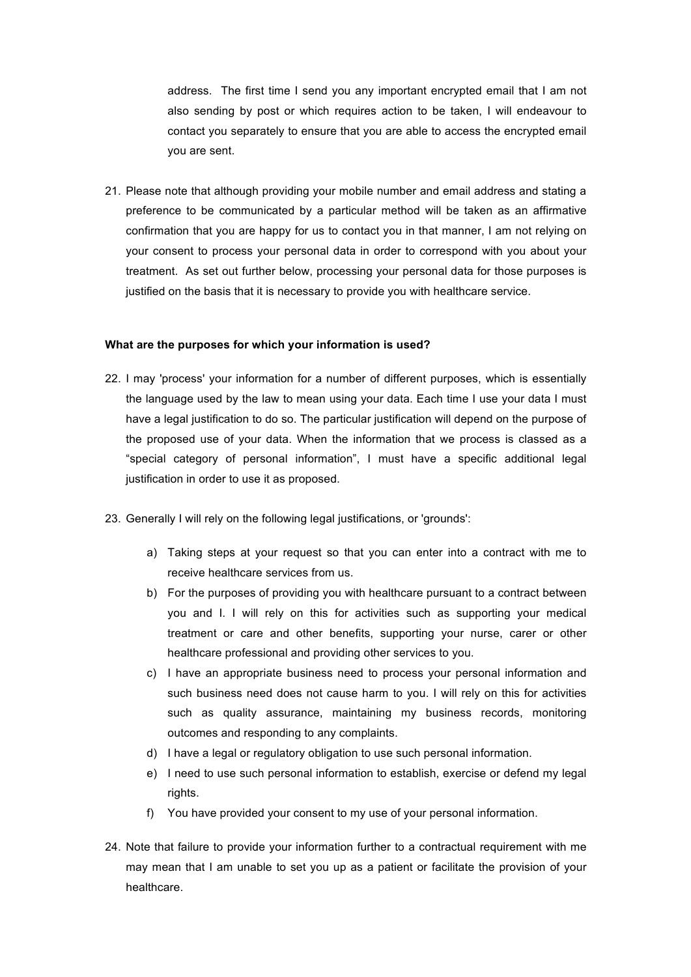address. The first time I send you any important encrypted email that I am not also sending by post or which requires action to be taken, I will endeavour to contact you separately to ensure that you are able to access the encrypted email you are sent.

21. Please note that although providing your mobile number and email address and stating a preference to be communicated by a particular method will be taken as an affirmative confirmation that you are happy for us to contact you in that manner, I am not relying on your consent to process your personal data in order to correspond with you about your treatment. As set out further below, processing your personal data for those purposes is justified on the basis that it is necessary to provide you with healthcare service.

#### **What are the purposes for which your information is used?**

- 22. I may 'process' your information for a number of different purposes, which is essentially the language used by the law to mean using your data. Each time I use your data I must have a legal justification to do so. The particular justification will depend on the purpose of the proposed use of your data. When the information that we process is classed as a "special category of personal information", I must have a specific additional legal justification in order to use it as proposed.
- 23. Generally I will rely on the following legal justifications, or 'grounds':
	- a) Taking steps at your request so that you can enter into a contract with me to receive healthcare services from us.
	- b) For the purposes of providing you with healthcare pursuant to a contract between you and I. I will rely on this for activities such as supporting your medical treatment or care and other benefits, supporting your nurse, carer or other healthcare professional and providing other services to you.
	- c) I have an appropriate business need to process your personal information and such business need does not cause harm to you. I will rely on this for activities such as quality assurance, maintaining my business records, monitoring outcomes and responding to any complaints.
	- d) I have a legal or regulatory obligation to use such personal information.
	- e) I need to use such personal information to establish, exercise or defend my legal rights.
	- f) You have provided your consent to my use of your personal information.
- 24. Note that failure to provide your information further to a contractual requirement with me may mean that I am unable to set you up as a patient or facilitate the provision of your healthcare.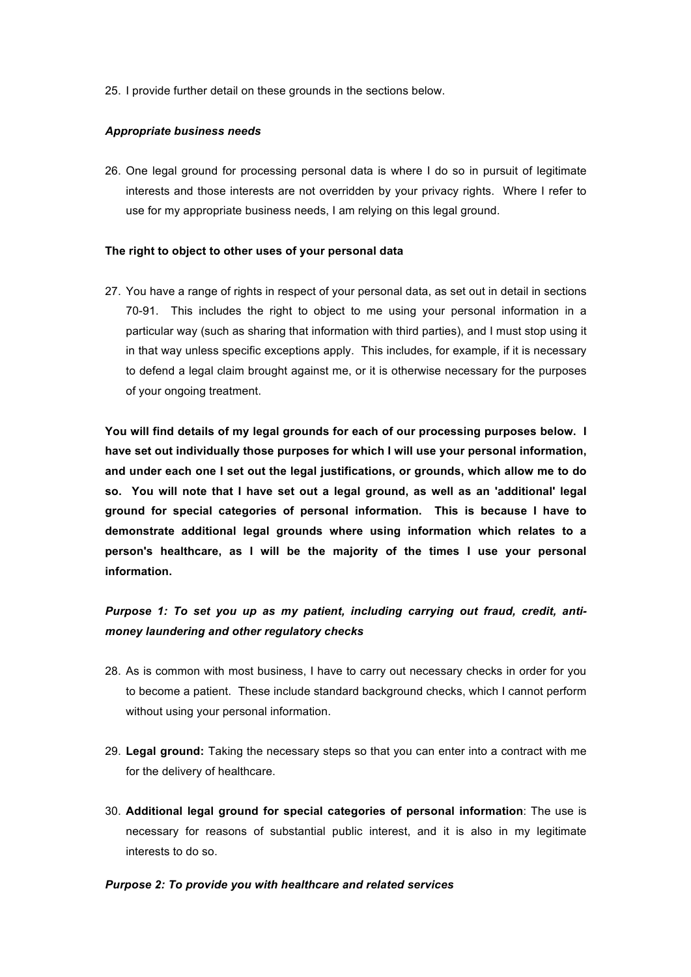25. I provide further detail on these grounds in the sections below.

## *Appropriate business needs*

26. One legal ground for processing personal data is where I do so in pursuit of legitimate interests and those interests are not overridden by your privacy rights. Where I refer to use for my appropriate business needs, I am relying on this legal ground.

## **The right to object to other uses of your personal data**

27. You have a range of rights in respect of your personal data, as set out in detail in sections 70-91. This includes the right to object to me using your personal information in a particular way (such as sharing that information with third parties), and I must stop using it in that way unless specific exceptions apply. This includes, for example, if it is necessary to defend a legal claim brought against me, or it is otherwise necessary for the purposes of your ongoing treatment.

**You will find details of my legal grounds for each of our processing purposes below. I have set out individually those purposes for which I will use your personal information, and under each one I set out the legal justifications, or grounds, which allow me to do so. You will note that I have set out a legal ground, as well as an 'additional' legal ground for special categories of personal information. This is because I have to demonstrate additional legal grounds where using information which relates to a person's healthcare, as I will be the majority of the times I use your personal information.** 

# *Purpose 1: To set you up as my patient, including carrying out fraud, credit, antimoney laundering and other regulatory checks*

- 28. As is common with most business, I have to carry out necessary checks in order for you to become a patient. These include standard background checks, which I cannot perform without using your personal information.
- 29. **Legal ground:** Taking the necessary steps so that you can enter into a contract with me for the delivery of healthcare.
- 30. **Additional legal ground for special categories of personal information**: The use is necessary for reasons of substantial public interest, and it is also in my legitimate interests to do so.

#### *Purpose 2: To provide you with healthcare and related services*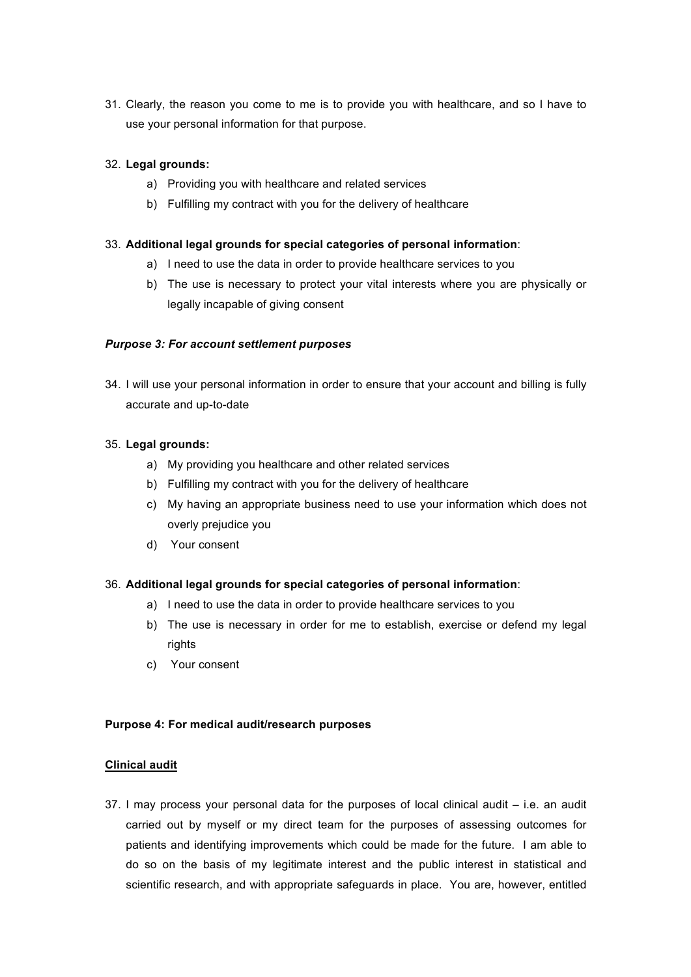31. Clearly, the reason you come to me is to provide you with healthcare, and so I have to use your personal information for that purpose.

# 32. **Legal grounds:**

- a) Providing you with healthcare and related services
- b) Fulfilling my contract with you for the delivery of healthcare

# 33. **Additional legal grounds for special categories of personal information**:

- a) I need to use the data in order to provide healthcare services to you
- b) The use is necessary to protect your vital interests where you are physically or legally incapable of giving consent

# *Purpose 3: For account settlement purposes*

34. I will use your personal information in order to ensure that your account and billing is fully accurate and up-to-date

## 35. **Legal grounds:**

- a) My providing you healthcare and other related services
- b) Fulfilling my contract with you for the delivery of healthcare
- c) My having an appropriate business need to use your information which does not overly prejudice you
- d) Your consent

# 36. **Additional legal grounds for special categories of personal information**:

- a) I need to use the data in order to provide healthcare services to you
- b) The use is necessary in order for me to establish, exercise or defend my legal rights
- c) Your consent

## **Purpose 4: For medical audit/research purposes**

#### **Clinical audit**

37. I may process your personal data for the purposes of local clinical audit – i.e. an audit carried out by myself or my direct team for the purposes of assessing outcomes for patients and identifying improvements which could be made for the future. I am able to do so on the basis of my legitimate interest and the public interest in statistical and scientific research, and with appropriate safeguards in place. You are, however, entitled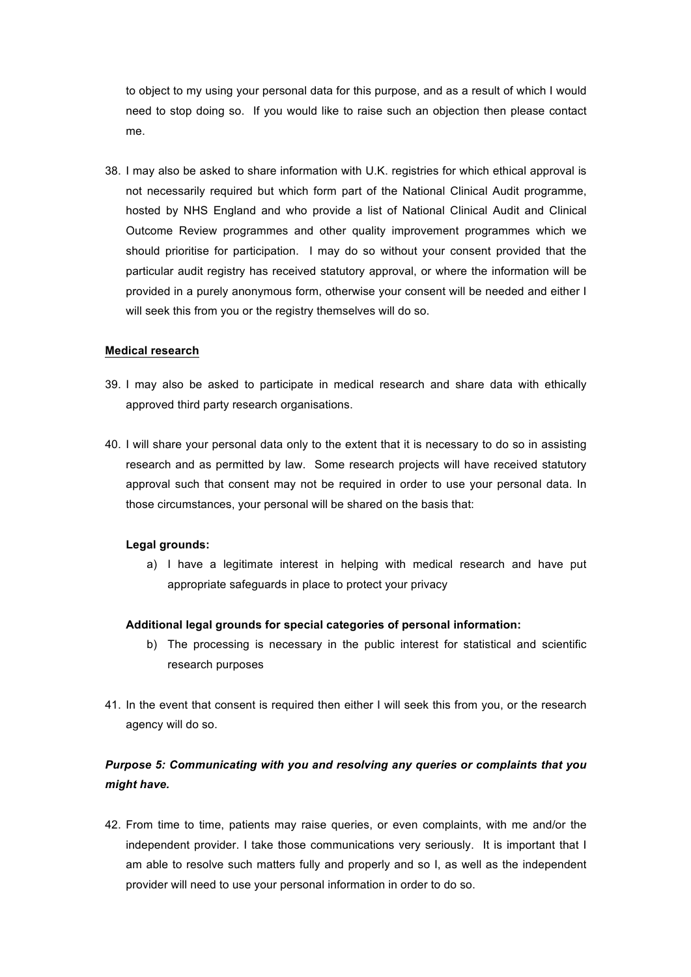to object to my using your personal data for this purpose, and as a result of which I would need to stop doing so. If you would like to raise such an objection then please contact me.

38. I may also be asked to share information with U.K. registries for which ethical approval is not necessarily required but which form part of the National Clinical Audit programme, hosted by NHS England and who provide a list of National Clinical Audit and Clinical Outcome Review programmes and other quality improvement programmes which we should prioritise for participation. I may do so without your consent provided that the particular audit registry has received statutory approval, or where the information will be provided in a purely anonymous form, otherwise your consent will be needed and either I will seek this from you or the registry themselves will do so.

#### **Medical research**

- 39. I may also be asked to participate in medical research and share data with ethically approved third party research organisations.
- 40. I will share your personal data only to the extent that it is necessary to do so in assisting research and as permitted by law. Some research projects will have received statutory approval such that consent may not be required in order to use your personal data. In those circumstances, your personal will be shared on the basis that:

#### **Legal grounds:**

a) I have a legitimate interest in helping with medical research and have put appropriate safeguards in place to protect your privacy

#### **Additional legal grounds for special categories of personal information:**

- b) The processing is necessary in the public interest for statistical and scientific research purposes
- 41. In the event that consent is required then either I will seek this from you, or the research agency will do so.

# *Purpose 5: Communicating with you and resolving any queries or complaints that you might have.*

42. From time to time, patients may raise queries, or even complaints, with me and/or the independent provider. I take those communications very seriously. It is important that I am able to resolve such matters fully and properly and so I, as well as the independent provider will need to use your personal information in order to do so.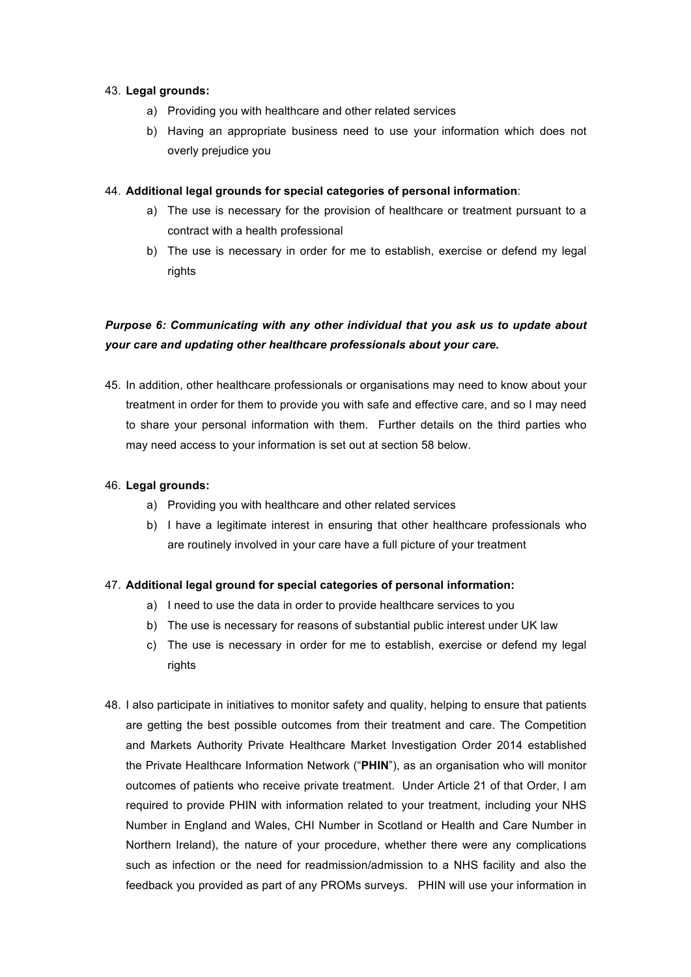## 43. **Legal grounds:**

- a) Providing you with healthcare and other related services
- b) Having an appropriate business need to use your information which does not overly prejudice you

## 44. **Additional legal grounds for special categories of personal information**:

- a) The use is necessary for the provision of healthcare or treatment pursuant to a contract with a health professional
- b) The use is necessary in order for me to establish, exercise or defend my legal rights

# *Purpose 6: Communicating with any other individual that you ask us to update about your care and updating other healthcare professionals about your care.*

45. In addition, other healthcare professionals or organisations may need to know about your treatment in order for them to provide you with safe and effective care, and so I may need to share your personal information with them. Further details on the third parties who may need access to your information is set out at section 58 below.

## 46. **Legal grounds:**

- a) Providing you with healthcare and other related services
- b) I have a legitimate interest in ensuring that other healthcare professionals who are routinely involved in your care have a full picture of your treatment

# 47. **Additional legal ground for special categories of personal information:**

- a) I need to use the data in order to provide healthcare services to you
- b) The use is necessary for reasons of substantial public interest under UK law
- c) The use is necessary in order for me to establish, exercise or defend my legal rights
- 48. I also participate in initiatives to monitor safety and quality, helping to ensure that patients are getting the best possible outcomes from their treatment and care. The Competition and Markets Authority Private Healthcare Market Investigation Order 2014 established the Private Healthcare Information Network ("**PHIN**"), as an organisation who will monitor outcomes of patients who receive private treatment. Under Article 21 of that Order, I am required to provide PHIN with information related to your treatment, including your NHS Number in England and Wales, CHI Number in Scotland or Health and Care Number in Northern Ireland), the nature of your procedure, whether there were any complications such as infection or the need for readmission/admission to a NHS facility and also the feedback you provided as part of any PROMs surveys. PHIN will use your information in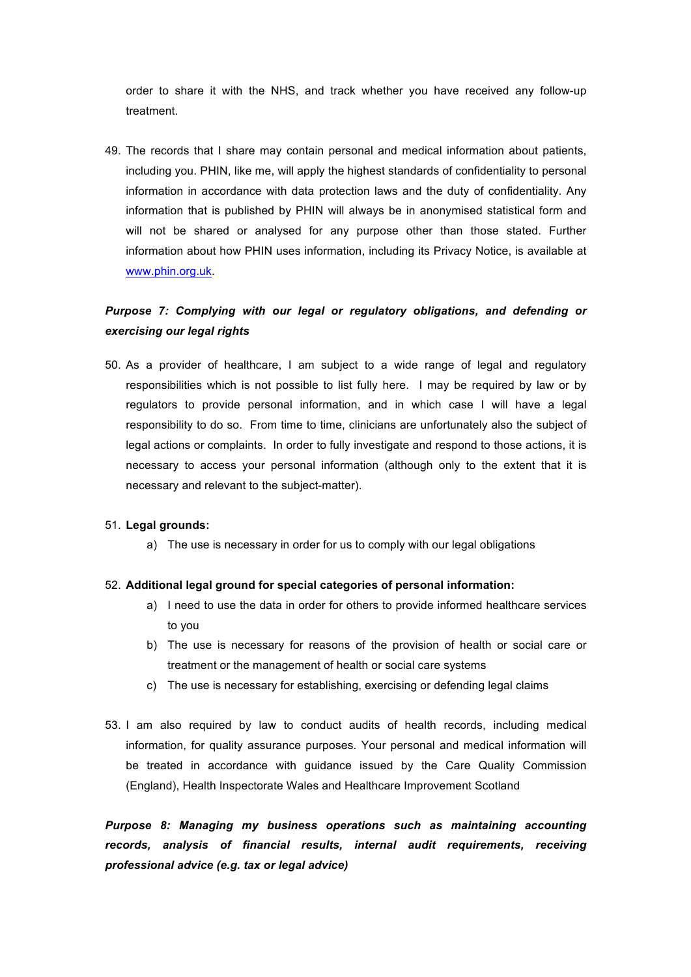order to share it with the NHS, and track whether you have received any follow-up treatment.

49. The records that I share may contain personal and medical information about patients, including you. PHIN, like me, will apply the highest standards of confidentiality to personal information in accordance with data protection laws and the duty of confidentiality. Any information that is published by PHIN will always be in anonymised statistical form and will not be shared or analysed for any purpose other than those stated. Further information about how PHIN uses information, including its Privacy Notice, is available at www.phin.org.uk.

# *Purpose 7: Complying with our legal or regulatory obligations, and defending or exercising our legal rights*

50. As a provider of healthcare, I am subject to a wide range of legal and regulatory responsibilities which is not possible to list fully here. I may be required by law or by regulators to provide personal information, and in which case I will have a legal responsibility to do so. From time to time, clinicians are unfortunately also the subject of legal actions or complaints. In order to fully investigate and respond to those actions, it is necessary to access your personal information (although only to the extent that it is necessary and relevant to the subject-matter).

# 51. **Legal grounds:**

a) The use is necessary in order for us to comply with our legal obligations

#### 52. **Additional legal ground for special categories of personal information:**

- a) I need to use the data in order for others to provide informed healthcare services to you
- b) The use is necessary for reasons of the provision of health or social care or treatment or the management of health or social care systems
- c) The use is necessary for establishing, exercising or defending legal claims
- 53. I am also required by law to conduct audits of health records, including medical information, for quality assurance purposes. Your personal and medical information will be treated in accordance with guidance issued by the Care Quality Commission (England), Health Inspectorate Wales and Healthcare Improvement Scotland

*Purpose 8: Managing my business operations such as maintaining accounting records, analysis of financial results, internal audit requirements, receiving professional advice (e.g. tax or legal advice)*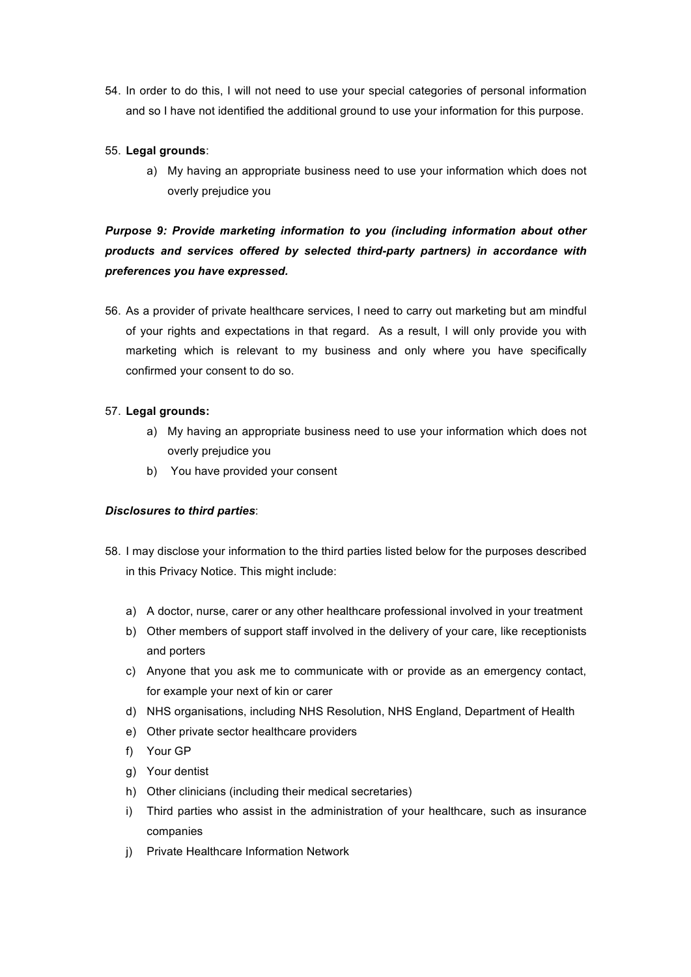54. In order to do this, I will not need to use your special categories of personal information and so I have not identified the additional ground to use your information for this purpose.

# 55. **Legal grounds**:

a) My having an appropriate business need to use your information which does not overly prejudice you

# *Purpose 9: Provide marketing information to you (including information about other products and services offered by selected third-party partners) in accordance with preferences you have expressed.*

56. As a provider of private healthcare services, I need to carry out marketing but am mindful of your rights and expectations in that regard. As a result, I will only provide you with marketing which is relevant to my business and only where you have specifically confirmed your consent to do so.

# 57. **Legal grounds:**

- a) My having an appropriate business need to use your information which does not overly prejudice you
- b) You have provided your consent

# *Disclosures to third parties*:

- 58. I may disclose your information to the third parties listed below for the purposes described in this Privacy Notice. This might include:
	- a) A doctor, nurse, carer or any other healthcare professional involved in your treatment
	- b) Other members of support staff involved in the delivery of your care, like receptionists and porters
	- c) Anyone that you ask me to communicate with or provide as an emergency contact, for example your next of kin or carer
	- d) NHS organisations, including NHS Resolution, NHS England, Department of Health
	- e) Other private sector healthcare providers
	- f) Your GP
	- g) Your dentist
	- h) Other clinicians (including their medical secretaries)
	- i) Third parties who assist in the administration of your healthcare, such as insurance companies
	- j) Private Healthcare Information Network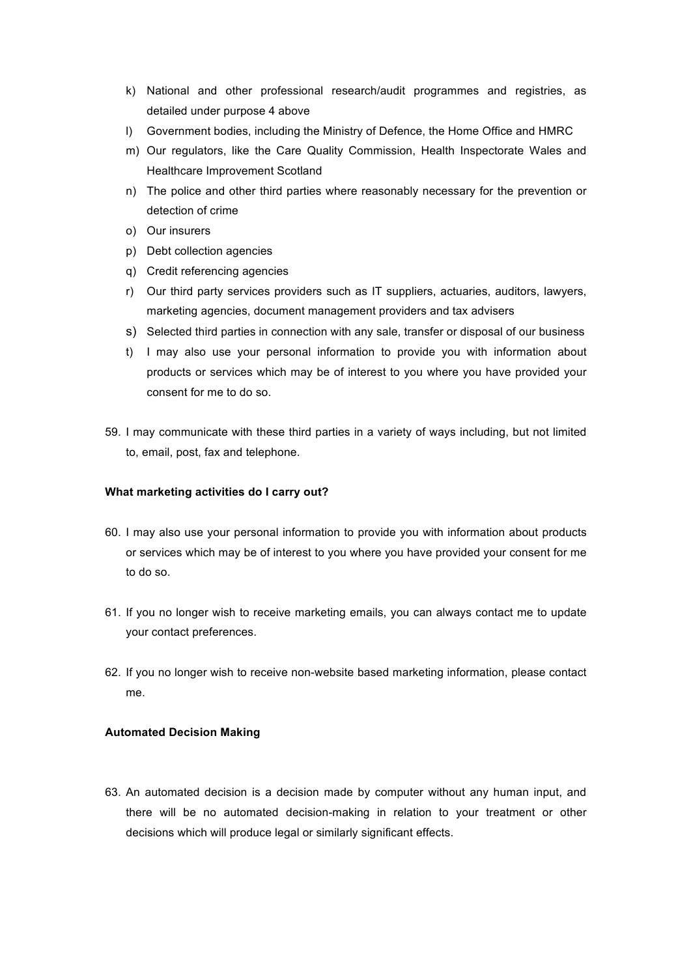- k) National and other professional research/audit programmes and registries, as detailed under purpose 4 above
- l) Government bodies, including the Ministry of Defence, the Home Office and HMRC
- m) Our regulators, like the Care Quality Commission, Health Inspectorate Wales and Healthcare Improvement Scotland
- n) The police and other third parties where reasonably necessary for the prevention or detection of crime
- o) Our insurers
- p) Debt collection agencies
- q) Credit referencing agencies
- r) Our third party services providers such as IT suppliers, actuaries, auditors, lawyers, marketing agencies, document management providers and tax advisers
- s) Selected third parties in connection with any sale, transfer or disposal of our business
- t) I may also use your personal information to provide you with information about products or services which may be of interest to you where you have provided your consent for me to do so.
- 59. I may communicate with these third parties in a variety of ways including, but not limited to, email, post, fax and telephone.

## **What marketing activities do I carry out?**

- 60. I may also use your personal information to provide you with information about products or services which may be of interest to you where you have provided your consent for me to do so.
- 61. If you no longer wish to receive marketing emails, you can always contact me to update your contact preferences.
- 62. If you no longer wish to receive non-website based marketing information, please contact me.

### **Automated Decision Making**

63. An automated decision is a decision made by computer without any human input, and there will be no automated decision-making in relation to your treatment or other decisions which will produce legal or similarly significant effects.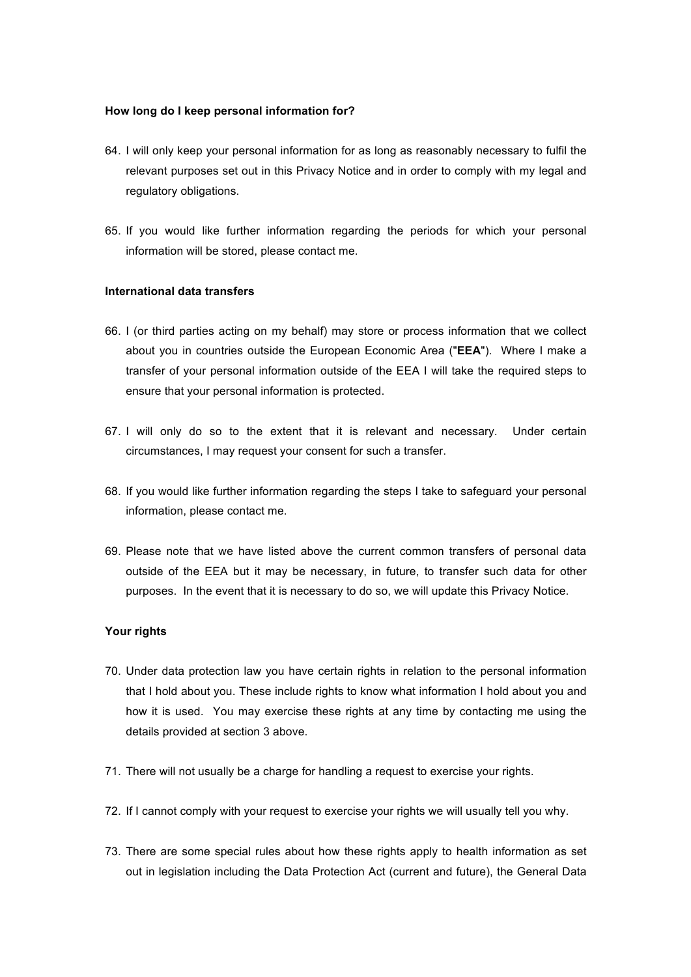#### **How long do I keep personal information for?**

- 64. I will only keep your personal information for as long as reasonably necessary to fulfil the relevant purposes set out in this Privacy Notice and in order to comply with my legal and regulatory obligations.
- 65. If you would like further information regarding the periods for which your personal information will be stored, please contact me.

## **International data transfers**

- 66. I (or third parties acting on my behalf) may store or process information that we collect about you in countries outside the European Economic Area ("**EEA**"). Where I make a transfer of your personal information outside of the EEA I will take the required steps to ensure that your personal information is protected.
- 67. I will only do so to the extent that it is relevant and necessary. Under certain circumstances, I may request your consent for such a transfer.
- 68. If you would like further information regarding the steps I take to safeguard your personal information, please contact me.
- 69. Please note that we have listed above the current common transfers of personal data outside of the EEA but it may be necessary, in future, to transfer such data for other purposes. In the event that it is necessary to do so, we will update this Privacy Notice.

## **Your rights**

- 70. Under data protection law you have certain rights in relation to the personal information that I hold about you. These include rights to know what information I hold about you and how it is used. You may exercise these rights at any time by contacting me using the details provided at section 3 above.
- 71. There will not usually be a charge for handling a request to exercise your rights.
- 72. If I cannot comply with your request to exercise your rights we will usually tell you why.
- 73. There are some special rules about how these rights apply to health information as set out in legislation including the Data Protection Act (current and future), the General Data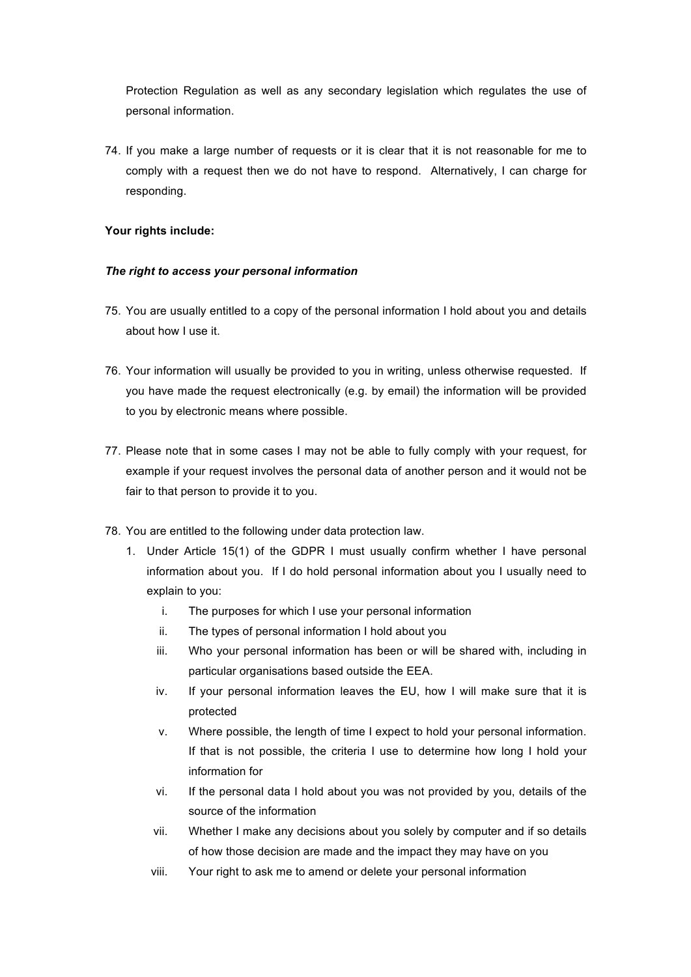Protection Regulation as well as any secondary legislation which regulates the use of personal information.

74. If you make a large number of requests or it is clear that it is not reasonable for me to comply with a request then we do not have to respond. Alternatively, I can charge for responding.

# **Your rights include:**

## *The right to access your personal information*

- 75. You are usually entitled to a copy of the personal information I hold about you and details about how I use it.
- 76. Your information will usually be provided to you in writing, unless otherwise requested. If you have made the request electronically (e.g. by email) the information will be provided to you by electronic means where possible.
- 77. Please note that in some cases I may not be able to fully comply with your request, for example if your request involves the personal data of another person and it would not be fair to that person to provide it to you.
- 78. You are entitled to the following under data protection law.
	- 1. Under Article 15(1) of the GDPR I must usually confirm whether I have personal information about you. If I do hold personal information about you I usually need to explain to you:
		- i. The purposes for which I use your personal information
		- ii. The types of personal information I hold about you
		- iii. Who your personal information has been or will be shared with, including in particular organisations based outside the EEA.
		- iv. If your personal information leaves the EU, how I will make sure that it is protected
		- v. Where possible, the length of time I expect to hold your personal information. If that is not possible, the criteria I use to determine how long I hold your information for
		- vi. If the personal data I hold about you was not provided by you, details of the source of the information
		- vii. Whether I make any decisions about you solely by computer and if so details of how those decision are made and the impact they may have on you
		- viii. Your right to ask me to amend or delete your personal information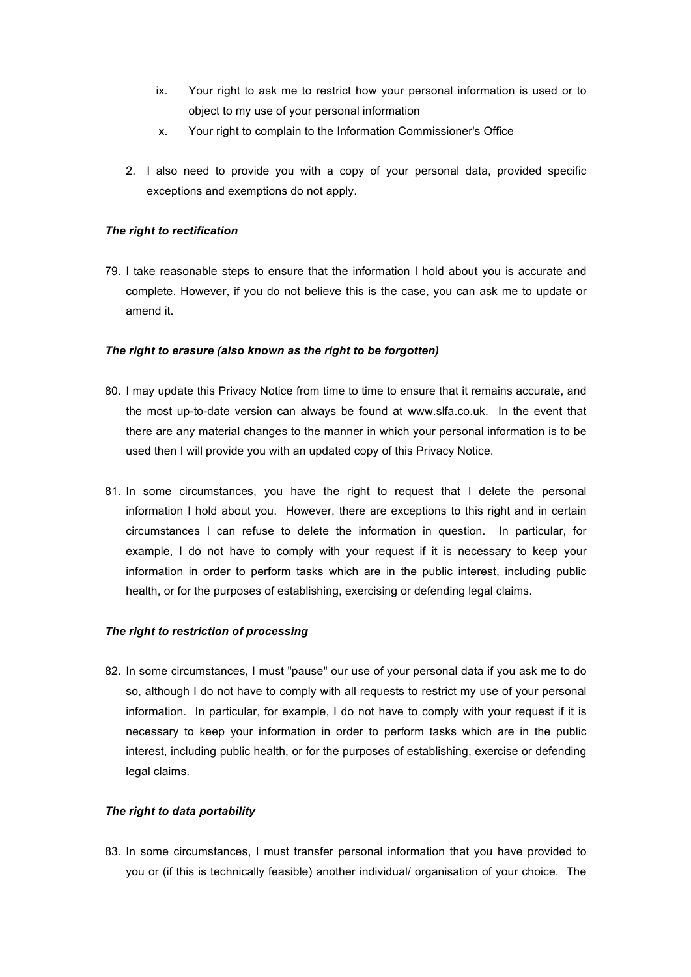- ix. Your right to ask me to restrict how your personal information is used or to object to my use of your personal information
- x. Your right to complain to the Information Commissioner's Office
- 2. I also need to provide you with a copy of your personal data, provided specific exceptions and exemptions do not apply.

# *The right to rectification*

79. I take reasonable steps to ensure that the information I hold about you is accurate and complete. However, if you do not believe this is the case, you can ask me to update or amend it.

## *The right to erasure (also known as the right to be forgotten)*

- 80. I may update this Privacy Notice from time to time to ensure that it remains accurate, and the most up-to-date version can always be found at www.slfa.co.uk. In the event that there are any material changes to the manner in which your personal information is to be used then I will provide you with an updated copy of this Privacy Notice.
- 81. In some circumstances, you have the right to request that I delete the personal information I hold about you. However, there are exceptions to this right and in certain circumstances I can refuse to delete the information in question. In particular, for example, I do not have to comply with your request if it is necessary to keep your information in order to perform tasks which are in the public interest, including public health, or for the purposes of establishing, exercising or defending legal claims.

#### *The right to restriction of processing*

82. In some circumstances, I must "pause" our use of your personal data if you ask me to do so, although I do not have to comply with all requests to restrict my use of your personal information. In particular, for example, I do not have to comply with your request if it is necessary to keep your information in order to perform tasks which are in the public interest, including public health, or for the purposes of establishing, exercise or defending legal claims.

# *The right to data portability*

83. In some circumstances, I must transfer personal information that you have provided to you or (if this is technically feasible) another individual/ organisation of your choice. The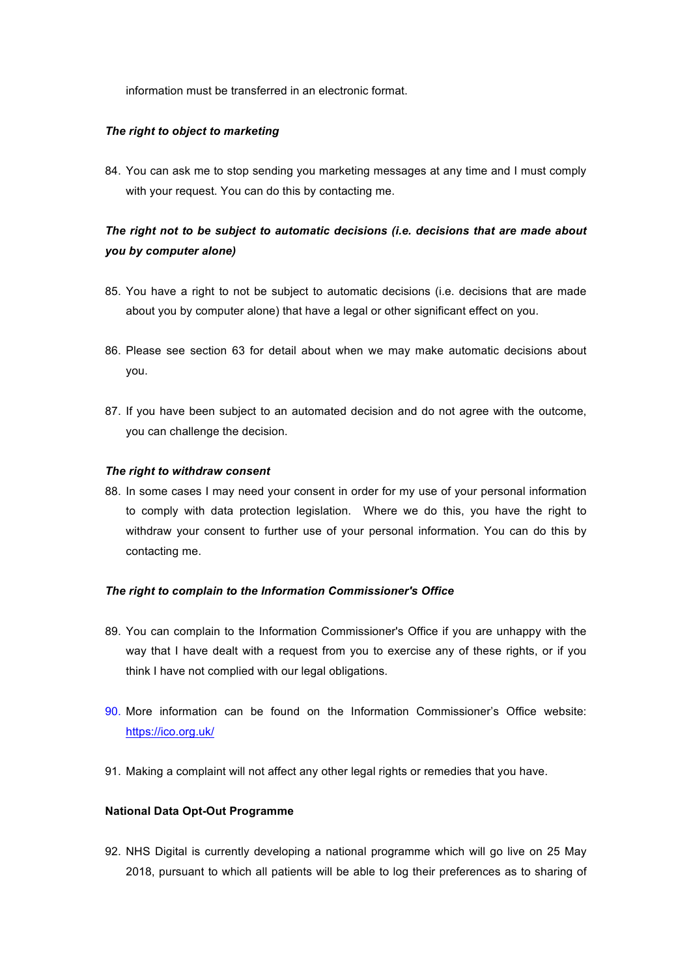information must be transferred in an electronic format.

## *The right to object to marketing*

84. You can ask me to stop sending you marketing messages at any time and I must comply with your request. You can do this by contacting me.

# *The right not to be subject to automatic decisions (i.e. decisions that are made about you by computer alone)*

- 85. You have a right to not be subject to automatic decisions (i.e. decisions that are made about you by computer alone) that have a legal or other significant effect on you.
- 86. Please see section 63 for detail about when we may make automatic decisions about you.
- 87. If you have been subject to an automated decision and do not agree with the outcome, you can challenge the decision.

## *The right to withdraw consent*

88. In some cases I may need your consent in order for my use of your personal information to comply with data protection legislation. Where we do this, you have the right to withdraw your consent to further use of your personal information. You can do this by contacting me.

#### *The right to complain to the Information Commissioner's Office*

- 89. You can complain to the Information Commissioner's Office if you are unhappy with the way that I have dealt with a request from you to exercise any of these rights, or if you think I have not complied with our legal obligations.
- 90. More information can be found on the Information Commissioner's Office website: https://ico.org.uk/
- 91. Making a complaint will not affect any other legal rights or remedies that you have.

# **National Data Opt-Out Programme**

92. NHS Digital is currently developing a national programme which will go live on 25 May 2018, pursuant to which all patients will be able to log their preferences as to sharing of